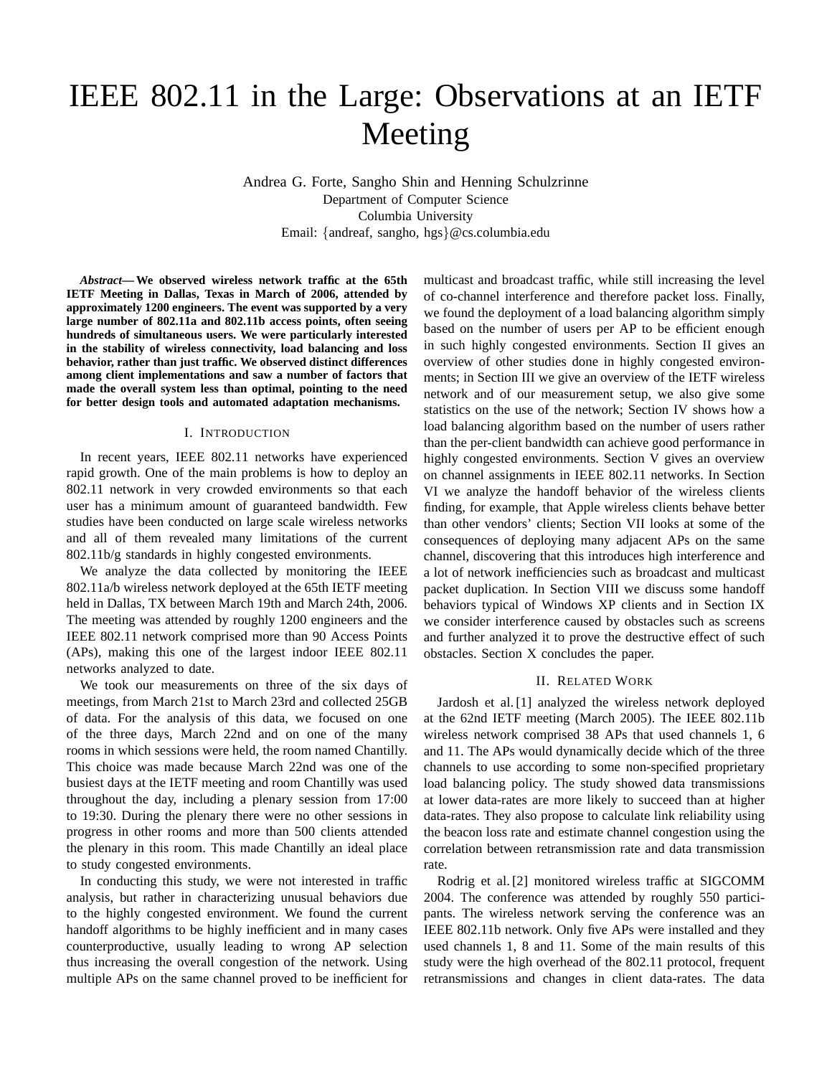# IEEE 802.11 in the Large: Observations at an IETF Meeting

Andrea G. Forte, Sangho Shin and Henning Schulzrinne Department of Computer Science Columbia University Email: {andreaf, sangho, hgs}@cs.columbia.edu

*Abstract***— We observed wireless network traffic at the 65th IETF Meeting in Dallas, Texas in March of 2006, attended by approximately 1200 engineers. The event was supported by a very large number of 802.11a and 802.11b access points, often seeing hundreds of simultaneous users. We were particularly interested in the stability of wireless connectivity, load balancing and loss behavior, rather than just traffic. We observed distinct differences among client implementations and saw a number of factors that made the overall system less than optimal, pointing to the need for better design tools and automated adaptation mechanisms.**

#### I. INTRODUCTION

In recent years, IEEE 802.11 networks have experienced rapid growth. One of the main problems is how to deploy an 802.11 network in very crowded environments so that each user has a minimum amount of guaranteed bandwidth. Few studies have been conducted on large scale wireless networks and all of them revealed many limitations of the current 802.11b/g standards in highly congested environments.

We analyze the data collected by monitoring the IEEE 802.11a/b wireless network deployed at the 65th IETF meeting held in Dallas, TX between March 19th and March 24th, 2006. The meeting was attended by roughly 1200 engineers and the IEEE 802.11 network comprised more than 90 Access Points (APs), making this one of the largest indoor IEEE 802.11 networks analyzed to date.

We took our measurements on three of the six days of meetings, from March 21st to March 23rd and collected 25GB of data. For the analysis of this data, we focused on one of the three days, March 22nd and on one of the many rooms in which sessions were held, the room named Chantilly. This choice was made because March 22nd was one of the busiest days at the IETF meeting and room Chantilly was used throughout the day, including a plenary session from 17:00 to 19:30. During the plenary there were no other sessions in progress in other rooms and more than 500 clients attended the plenary in this room. This made Chantilly an ideal place to study congested environments.

In conducting this study, we were not interested in traffic analysis, but rather in characterizing unusual behaviors due to the highly congested environment. We found the current handoff algorithms to be highly inefficient and in many cases counterproductive, usually leading to wrong AP selection thus increasing the overall congestion of the network. Using multiple APs on the same channel proved to be inefficient for multicast and broadcast traffic, while still increasing the level of co-channel interference and therefore packet loss. Finally, we found the deployment of a load balancing algorithm simply based on the number of users per AP to be efficient enough in such highly congested environments. Section II gives an overview of other studies done in highly congested environments; in Section III we give an overview of the IETF wireless network and of our measurement setup, we also give some statistics on the use of the network; Section IV shows how a load balancing algorithm based on the number of users rather than the per-client bandwidth can achieve good performance in highly congested environments. Section V gives an overview on channel assignments in IEEE 802.11 networks. In Section VI we analyze the handoff behavior of the wireless clients finding, for example, that Apple wireless clients behave better than other vendors' clients; Section VII looks at some of the consequences of deploying many adjacent APs on the same channel, discovering that this introduces high interference and a lot of network inefficiencies such as broadcast and multicast packet duplication. In Section VIII we discuss some handoff behaviors typical of Windows XP clients and in Section IX we consider interference caused by obstacles such as screens and further analyzed it to prove the destructive effect of such obstacles. Section X concludes the paper.

#### II. RELATED WORK

Jardosh et al. [1] analyzed the wireless network deployed at the 62nd IETF meeting (March 2005). The IEEE 802.11b wireless network comprised 38 APs that used channels 1, 6 and 11. The APs would dynamically decide which of the three channels to use according to some non-specified proprietary load balancing policy. The study showed data transmissions at lower data-rates are more likely to succeed than at higher data-rates. They also propose to calculate link reliability using the beacon loss rate and estimate channel congestion using the correlation between retransmission rate and data transmission rate.

Rodrig et al. [2] monitored wireless traffic at SIGCOMM 2004. The conference was attended by roughly 550 participants. The wireless network serving the conference was an IEEE 802.11b network. Only five APs were installed and they used channels 1, 8 and 11. Some of the main results of this study were the high overhead of the 802.11 protocol, frequent retransmissions and changes in client data-rates. The data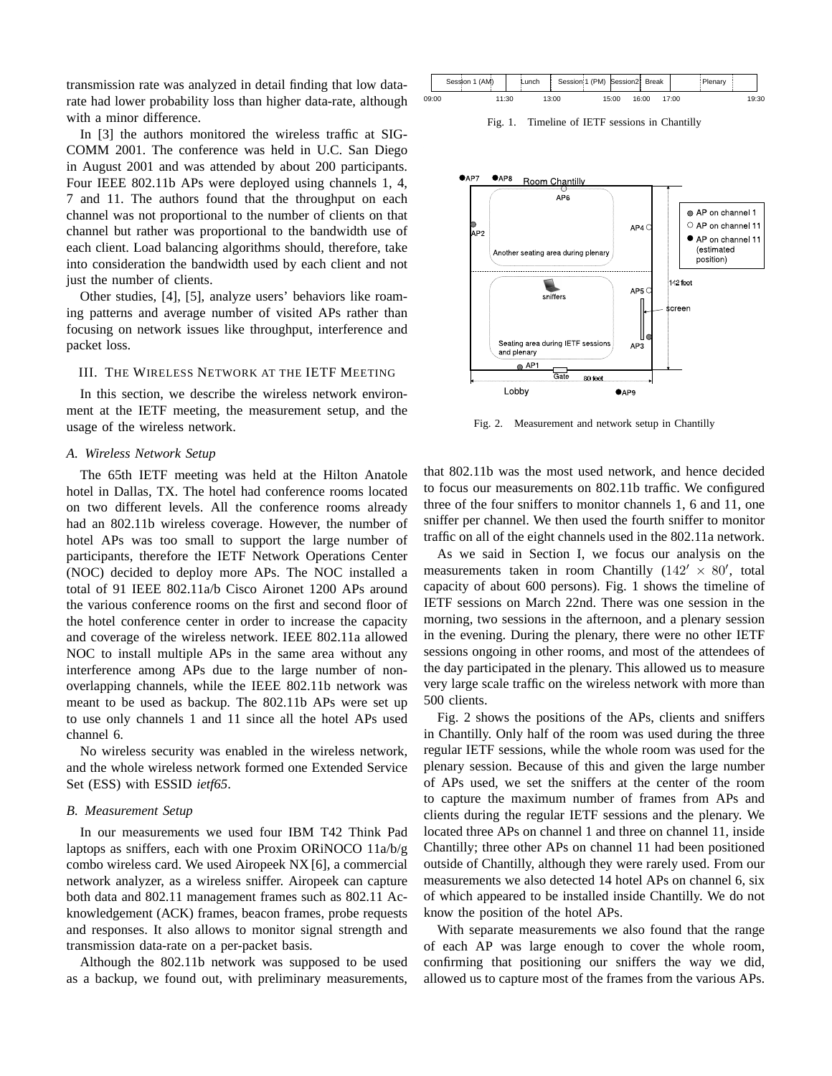transmission rate was analyzed in detail finding that low datarate had lower probability loss than higher data-rate, although with a minor difference.

In [3] the authors monitored the wireless traffic at SIG-COMM 2001. The conference was held in U.C. San Diego in August 2001 and was attended by about 200 participants. Four IEEE 802.11b APs were deployed using channels 1, 4, 7 and 11. The authors found that the throughput on each channel was not proportional to the number of clients on that channel but rather was proportional to the bandwidth use of each client. Load balancing algorithms should, therefore, take into consideration the bandwidth used by each client and not just the number of clients.

Other studies, [4], [5], analyze users' behaviors like roaming patterns and average number of visited APs rather than focusing on network issues like throughput, interference and packet loss.

## III. THE WIRELESS NETWORK AT THE IETF MEETING

In this section, we describe the wireless network environment at the IETF meeting, the measurement setup, and the usage of the wireless network.

## *A. Wireless Network Setup*

The 65th IETF meeting was held at the Hilton Anatole hotel in Dallas, TX. The hotel had conference rooms located on two different levels. All the conference rooms already had an 802.11b wireless coverage. However, the number of hotel APs was too small to support the large number of participants, therefore the IETF Network Operations Center (NOC) decided to deploy more APs. The NOC installed a total of 91 IEEE 802.11a/b Cisco Aironet 1200 APs around the various conference rooms on the first and second floor of the hotel conference center in order to increase the capacity and coverage of the wireless network. IEEE 802.11a allowed NOC to install multiple APs in the same area without any interference among APs due to the large number of nonoverlapping channels, while the IEEE 802.11b network was meant to be used as backup. The 802.11b APs were set up to use only channels 1 and 11 since all the hotel APs used channel 6.

No wireless security was enabled in the wireless network, and the whole wireless network formed one Extended Service Set (ESS) with ESSID *ietf65*.

#### *B. Measurement Setup*

In our measurements we used four IBM T42 Think Pad laptops as sniffers, each with one Proxim ORiNOCO 11a/b/g combo wireless card. We used Airopeek NX [6], a commercial network analyzer, as a wireless sniffer. Airopeek can capture both data and 802.11 management frames such as 802.11 Acknowledgement (ACK) frames, beacon frames, probe requests and responses. It also allows to monitor signal strength and transmission data-rate on a per-packet basis.

Although the 802.11b network was supposed to be used as a backup, we found out, with preliminary measurements,

|       | Session 1 (AM) |       | Lunch |       | Session 1 (PM) Session2 Break |       |       | Plenary |       |  |
|-------|----------------|-------|-------|-------|-------------------------------|-------|-------|---------|-------|--|
| 09:00 |                | 11:30 |       | 13:00 | 15:00                         | 16:00 | 17:00 |         | 19:30 |  |

Fig. 1. Timeline of IETF sessions in Chantilly



Fig. 2. Measurement and network setup in Chantilly

that 802.11b was the most used network, and hence decided to focus our measurements on 802.11b traffic. We configured three of the four sniffers to monitor channels 1, 6 and 11, one sniffer per channel. We then used the fourth sniffer to monitor traffic on all of the eight channels used in the 802.11a network.

As we said in Section I, we focus our analysis on the measurements taken in room Chantilly  $(142' \times 80')$ , total capacity of about 600 persons). Fig. 1 shows the timeline of IETF sessions on March 22nd. There was one session in the morning, two sessions in the afternoon, and a plenary session in the evening. During the plenary, there were no other IETF sessions ongoing in other rooms, and most of the attendees of the day participated in the plenary. This allowed us to measure very large scale traffic on the wireless network with more than 500 clients.

Fig. 2 shows the positions of the APs, clients and sniffers in Chantilly. Only half of the room was used during the three regular IETF sessions, while the whole room was used for the plenary session. Because of this and given the large number of APs used, we set the sniffers at the center of the room to capture the maximum number of frames from APs and clients during the regular IETF sessions and the plenary. We located three APs on channel 1 and three on channel 11, inside Chantilly; three other APs on channel 11 had been positioned outside of Chantilly, although they were rarely used. From our measurements we also detected 14 hotel APs on channel 6, six of which appeared to be installed inside Chantilly. We do not know the position of the hotel APs.

With separate measurements we also found that the range of each AP was large enough to cover the whole room, confirming that positioning our sniffers the way we did, allowed us to capture most of the frames from the various APs.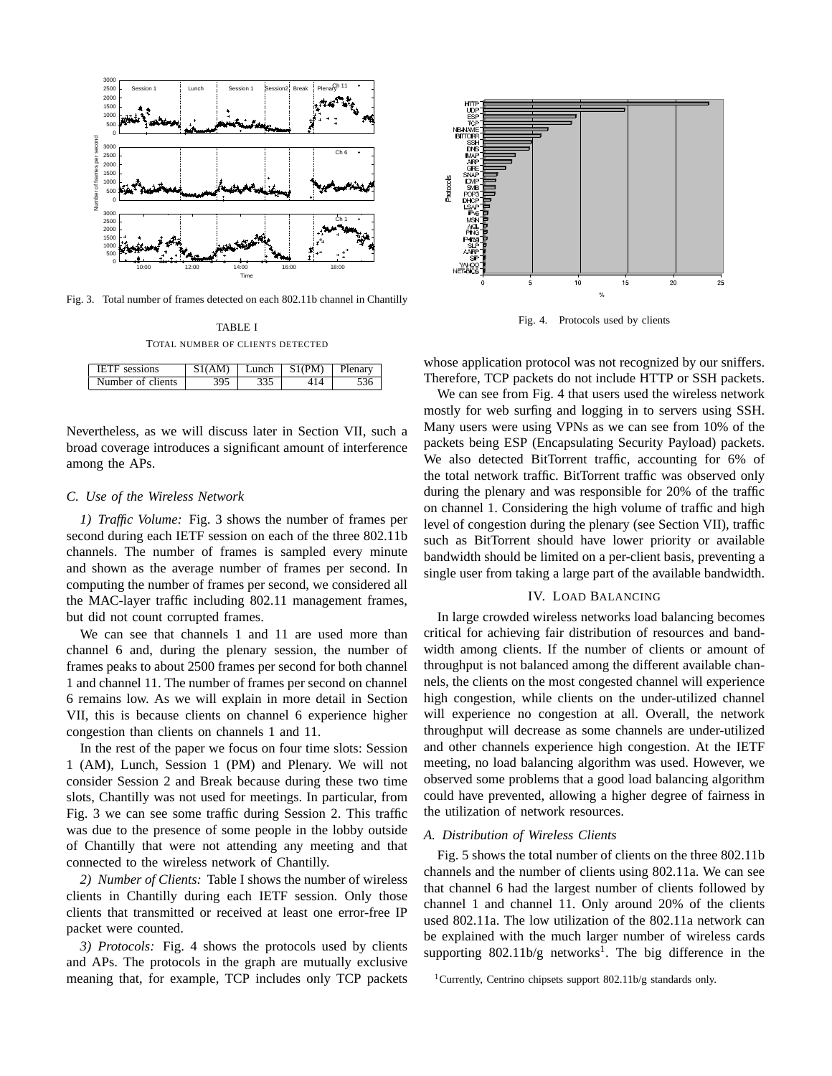

Fig. 3. Total number of frames detected on each 802.11b channel in Chantilly

| TABLE I                          |  |  |  |  |  |
|----------------------------------|--|--|--|--|--|
| TOTAL NUMBER OF CLIENTS DETECTED |  |  |  |  |  |

| IETE<br>sessions  | S1(AM) | Lunch | S1(PM) | Plenary |
|-------------------|--------|-------|--------|---------|
| Number of clients | 395    |       |        |         |

Nevertheless, as we will discuss later in Section VII, such a broad coverage introduces a significant amount of interference among the APs.

## *C. Use of the Wireless Network*

*1) Traffic Volume:* Fig. 3 shows the number of frames per second during each IETF session on each of the three 802.11b channels. The number of frames is sampled every minute and shown as the average number of frames per second. In computing the number of frames per second, we considered all the MAC-layer traffic including 802.11 management frames, but did not count corrupted frames.

We can see that channels 1 and 11 are used more than channel 6 and, during the plenary session, the number of frames peaks to about 2500 frames per second for both channel 1 and channel 11. The number of frames per second on channel 6 remains low. As we will explain in more detail in Section VII, this is because clients on channel 6 experience higher congestion than clients on channels 1 and 11.

In the rest of the paper we focus on four time slots: Session 1 (AM), Lunch, Session 1 (PM) and Plenary. We will not consider Session 2 and Break because during these two time slots, Chantilly was not used for meetings. In particular, from Fig. 3 we can see some traffic during Session 2. This traffic was due to the presence of some people in the lobby outside of Chantilly that were not attending any meeting and that connected to the wireless network of Chantilly.

*2) Number of Clients:* Table I shows the number of wireless clients in Chantilly during each IETF session. Only those clients that transmitted or received at least one error-free IP packet were counted.

*3) Protocols:* Fig. 4 shows the protocols used by clients and APs. The protocols in the graph are mutually exclusive meaning that, for example, TCP includes only TCP packets



Fig. 4. Protocols used by clients

whose application protocol was not recognized by our sniffers. Therefore, TCP packets do not include HTTP or SSH packets.

We can see from Fig. 4 that users used the wireless network mostly for web surfing and logging in to servers using SSH. Many users were using VPNs as we can see from 10% of the packets being ESP (Encapsulating Security Payload) packets. We also detected BitTorrent traffic, accounting for 6% of the total network traffic. BitTorrent traffic was observed only during the plenary and was responsible for 20% of the traffic on channel 1. Considering the high volume of traffic and high level of congestion during the plenary (see Section VII), traffic such as BitTorrent should have lower priority or available bandwidth should be limited on a per-client basis, preventing a single user from taking a large part of the available bandwidth.

## IV. LOAD BALANCING

In large crowded wireless networks load balancing becomes critical for achieving fair distribution of resources and bandwidth among clients. If the number of clients or amount of throughput is not balanced among the different available channels, the clients on the most congested channel will experience high congestion, while clients on the under-utilized channel will experience no congestion at all. Overall, the network throughput will decrease as some channels are under-utilized and other channels experience high congestion. At the IETF meeting, no load balancing algorithm was used. However, we observed some problems that a good load balancing algorithm could have prevented, allowing a higher degree of fairness in the utilization of network resources.

# *A. Distribution of Wireless Clients*

Fig. 5 shows the total number of clients on the three 802.11b channels and the number of clients using 802.11a. We can see that channel 6 had the largest number of clients followed by channel 1 and channel 11. Only around 20% of the clients used 802.11a. The low utilization of the 802.11a network can be explained with the much larger number of wireless cards supporting  $802.11b/g$  networks<sup>1</sup>. The big difference in the

<sup>1</sup>Currently, Centrino chipsets support 802.11b/g standards only.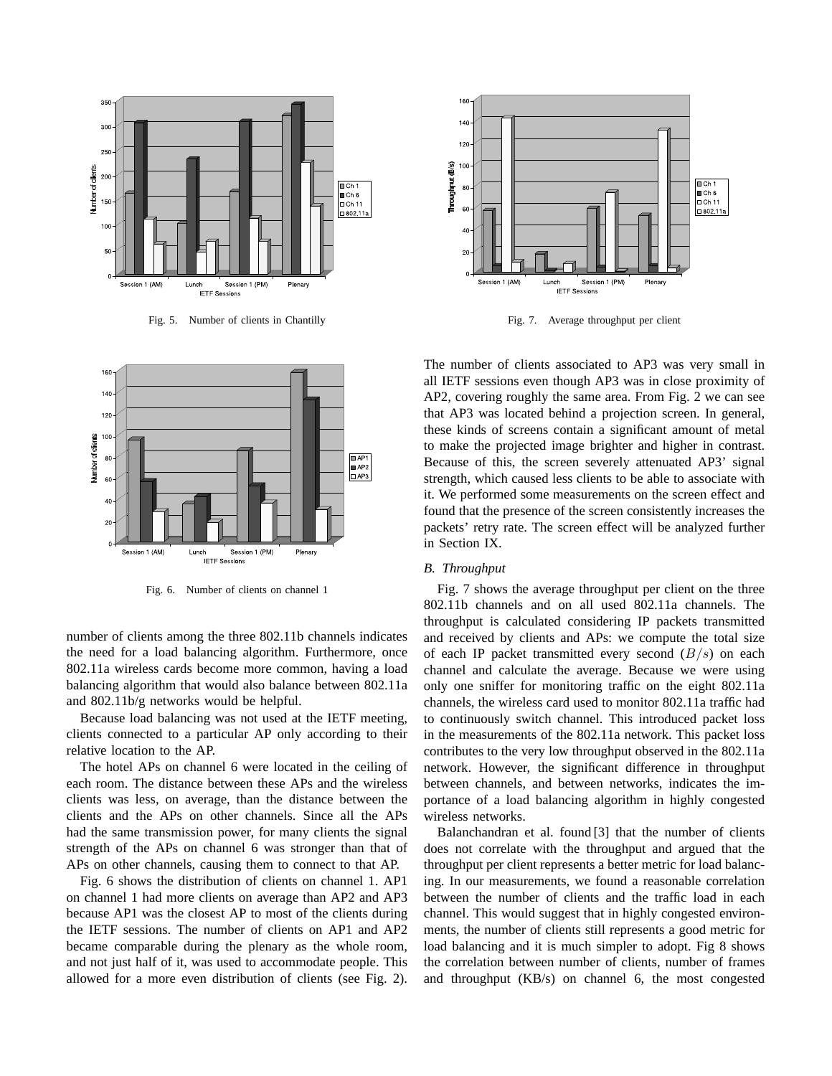

Fig. 5. Number of clients in Chantilly



Fig. 6. Number of clients on channel 1

number of clients among the three 802.11b channels indicates the need for a load balancing algorithm. Furthermore, once 802.11a wireless cards become more common, having a load balancing algorithm that would also balance between 802.11a and 802.11b/g networks would be helpful.

Because load balancing was not used at the IETF meeting, clients connected to a particular AP only according to their relative location to the AP.

The hotel APs on channel 6 were located in the ceiling of each room. The distance between these APs and the wireless clients was less, on average, than the distance between the clients and the APs on other channels. Since all the APs had the same transmission power, for many clients the signal strength of the APs on channel 6 was stronger than that of APs on other channels, causing them to connect to that AP.

Fig. 6 shows the distribution of clients on channel 1. AP1 on channel 1 had more clients on average than AP2 and AP3 because AP1 was the closest AP to most of the clients during the IETF sessions. The number of clients on AP1 and AP2 became comparable during the plenary as the whole room, and not just half of it, was used to accommodate people. This allowed for a more even distribution of clients (see Fig. 2).



Fig. 7. Average throughput per client

The number of clients associated to AP3 was very small in all IETF sessions even though AP3 was in close proximity of AP2, covering roughly the same area. From Fig. 2 we can see that AP3 was located behind a projection screen. In general, these kinds of screens contain a significant amount of metal to make the projected image brighter and higher in contrast. Because of this, the screen severely attenuated AP3' signal strength, which caused less clients to be able to associate with it. We performed some measurements on the screen effect and found that the presence of the screen consistently increases the packets' retry rate. The screen effect will be analyzed further in Section IX.

# *B. Throughput*

Fig. 7 shows the average throughput per client on the three 802.11b channels and on all used 802.11a channels. The throughput is calculated considering IP packets transmitted and received by clients and APs: we compute the total size of each IP packet transmitted every second  $(B/s)$  on each channel and calculate the average. Because we were using only one sniffer for monitoring traffic on the eight 802.11a channels, the wireless card used to monitor 802.11a traffic had to continuously switch channel. This introduced packet loss in the measurements of the 802.11a network. This packet loss contributes to the very low throughput observed in the 802.11a network. However, the significant difference in throughput between channels, and between networks, indicates the importance of a load balancing algorithm in highly congested wireless networks.

Balanchandran et al. found [3] that the number of clients does not correlate with the throughput and argued that the throughput per client represents a better metric for load balancing. In our measurements, we found a reasonable correlation between the number of clients and the traffic load in each channel. This would suggest that in highly congested environments, the number of clients still represents a good metric for load balancing and it is much simpler to adopt. Fig 8 shows the correlation between number of clients, number of frames and throughput (KB/s) on channel 6, the most congested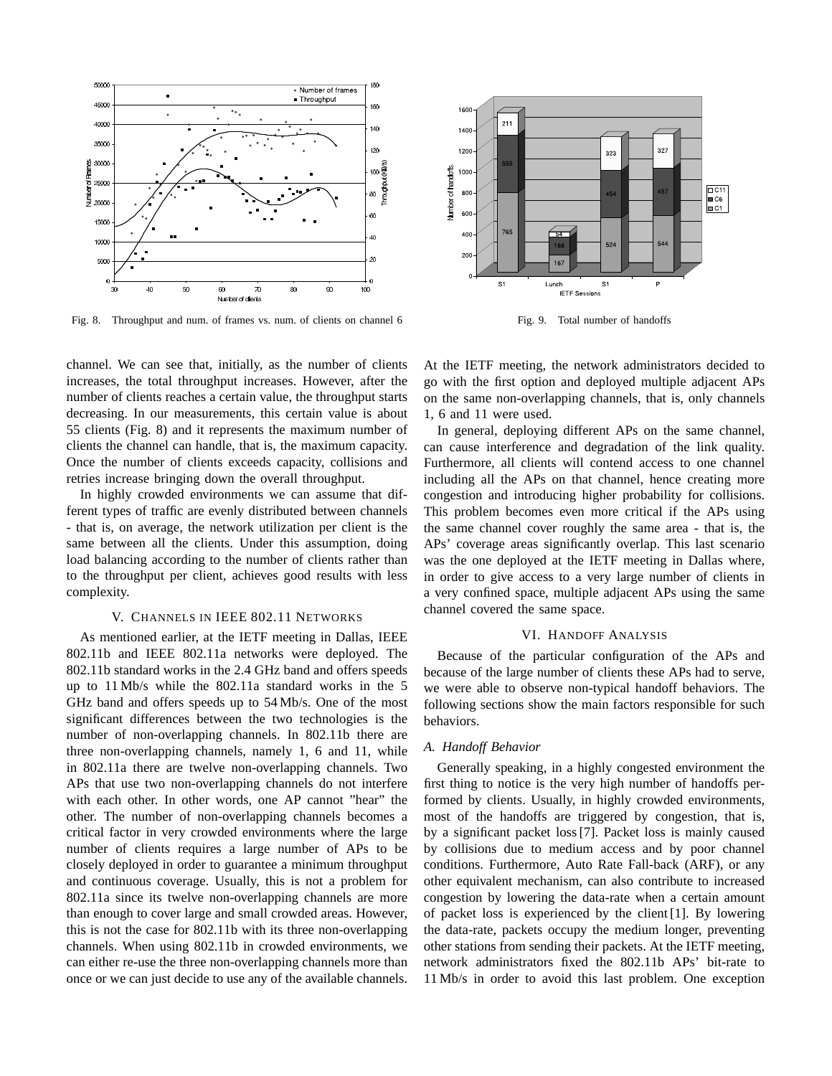

Fig. 8. Throughput and num. of frames vs. num. of clients on channel 6

channel. We can see that, initially, as the number of clients increases, the total throughput increases. However, after the number of clients reaches a certain value, the throughput starts decreasing. In our measurements, this certain value is about 55 clients (Fig. 8) and it represents the maximum number of clients the channel can handle, that is, the maximum capacity. Once the number of clients exceeds capacity, collisions and retries increase bringing down the overall throughput.

In highly crowded environments we can assume that different types of traffic are evenly distributed between channels - that is, on average, the network utilization per client is the same between all the clients. Under this assumption, doing load balancing according to the number of clients rather than to the throughput per client, achieves good results with less complexity.

## V. CHANNELS IN IEEE 802.11 NETWORKS

As mentioned earlier, at the IETF meeting in Dallas, IEEE 802.11b and IEEE 802.11a networks were deployed. The 802.11b standard works in the 2.4 GHz band and offers speeds up to 11 Mb/s while the 802.11a standard works in the 5 GHz band and offers speeds up to 54 Mb/s. One of the most significant differences between the two technologies is the number of non-overlapping channels. In 802.11b there are three non-overlapping channels, namely 1, 6 and 11, while in 802.11a there are twelve non-overlapping channels. Two APs that use two non-overlapping channels do not interfere with each other. In other words, one AP cannot "hear" the other. The number of non-overlapping channels becomes a critical factor in very crowded environments where the large number of clients requires a large number of APs to be closely deployed in order to guarantee a minimum throughput and continuous coverage. Usually, this is not a problem for 802.11a since its twelve non-overlapping channels are more than enough to cover large and small crowded areas. However, this is not the case for 802.11b with its three non-overlapping channels. When using 802.11b in crowded environments, we can either re-use the three non-overlapping channels more than once or we can just decide to use any of the available channels.



Fig. 9. Total number of handoffs

At the IETF meeting, the network administrators decided to go with the first option and deployed multiple adjacent APs on the same non-overlapping channels, that is, only channels 1, 6 and 11 were used.

In general, deploying different APs on the same channel, can cause interference and degradation of the link quality. Furthermore, all clients will contend access to one channel including all the APs on that channel, hence creating more congestion and introducing higher probability for collisions. This problem becomes even more critical if the APs using the same channel cover roughly the same area - that is, the APs' coverage areas significantly overlap. This last scenario was the one deployed at the IETF meeting in Dallas where, in order to give access to a very large number of clients in a very confined space, multiple adjacent APs using the same channel covered the same space.

# VI. HANDOFF ANALYSIS

Because of the particular configuration of the APs and because of the large number of clients these APs had to serve, we were able to observe non-typical handoff behaviors. The following sections show the main factors responsible for such behaviors.

# *A. Handoff Behavior*

Generally speaking, in a highly congested environment the first thing to notice is the very high number of handoffs performed by clients. Usually, in highly crowded environments, most of the handoffs are triggered by congestion, that is, by a significant packet loss [7]. Packet loss is mainly caused by collisions due to medium access and by poor channel conditions. Furthermore, Auto Rate Fall-back (ARF), or any other equivalent mechanism, can also contribute to increased congestion by lowering the data-rate when a certain amount of packet loss is experienced by the client [1]. By lowering the data-rate, packets occupy the medium longer, preventing other stations from sending their packets. At the IETF meeting, network administrators fixed the 802.11b APs' bit-rate to 11 Mb/s in order to avoid this last problem. One exception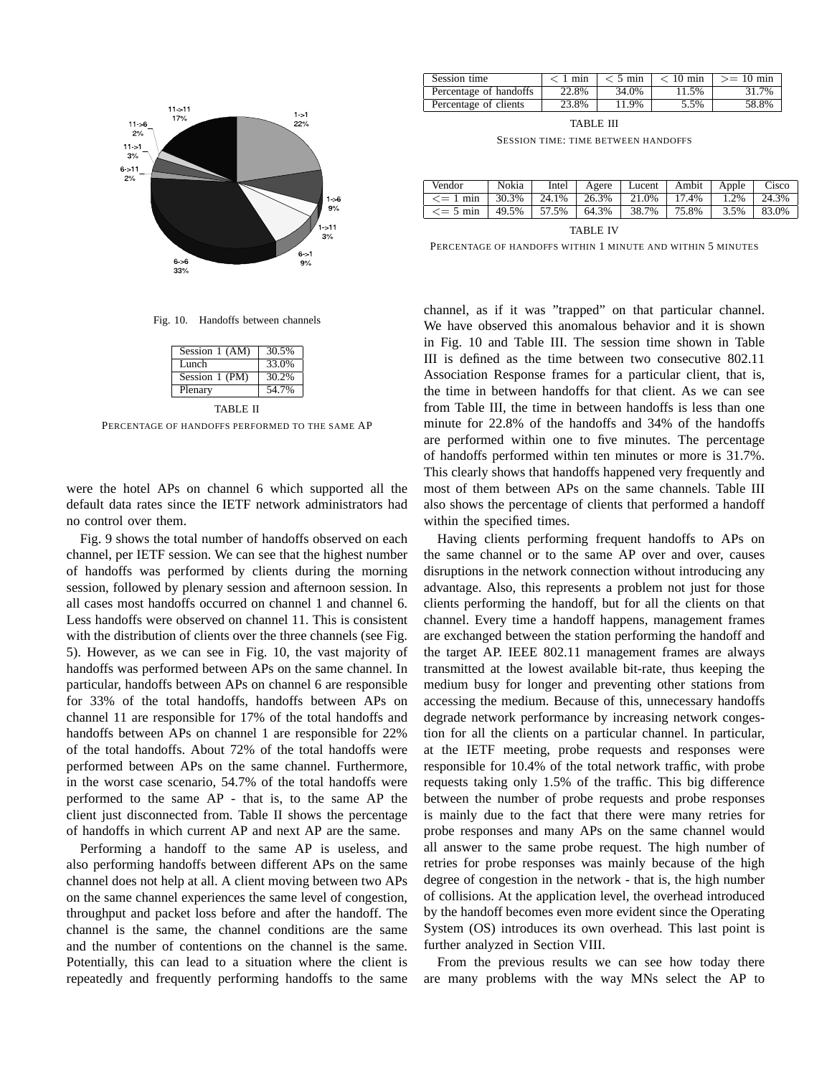

Fig. 10. Handoffs between channels

| Session 1 (AM) | 30.5% |  |  |  |
|----------------|-------|--|--|--|
| Lunch          | 33.0% |  |  |  |
| Session 1 (PM) | 30.2% |  |  |  |
| Plenary        | 54.7% |  |  |  |
| TABLE II       |       |  |  |  |

PERCENTAGE OF HANDOFFS PERFORMED TO THE SAME AP

were the hotel APs on channel 6 which supported all the default data rates since the IETF network administrators had no control over them.

Fig. 9 shows the total number of handoffs observed on each channel, per IETF session. We can see that the highest number of handoffs was performed by clients during the morning session, followed by plenary session and afternoon session. In all cases most handoffs occurred on channel 1 and channel 6. Less handoffs were observed on channel 11. This is consistent with the distribution of clients over the three channels (see Fig. 5). However, as we can see in Fig. 10, the vast majority of handoffs was performed between APs on the same channel. In particular, handoffs between APs on channel 6 are responsible for 33% of the total handoffs, handoffs between APs on channel 11 are responsible for 17% of the total handoffs and handoffs between APs on channel 1 are responsible for 22% of the total handoffs. About 72% of the total handoffs were performed between APs on the same channel. Furthermore, in the worst case scenario, 54.7% of the total handoffs were performed to the same AP - that is, to the same AP the client just disconnected from. Table II shows the percentage of handoffs in which current AP and next AP are the same.

Performing a handoff to the same AP is useless, and also performing handoffs between different APs on the same channel does not help at all. A client moving between two APs on the same channel experiences the same level of congestion, throughput and packet loss before and after the handoff. The channel is the same, the channel conditions are the same and the number of contentions on the channel is the same. Potentially, this can lead to a situation where the client is repeatedly and frequently performing handoffs to the same

| Session time           | $< 1$ min | $< 5 \text{ min}$ | $< 10$ min | $>= 10$ min |
|------------------------|-----------|-------------------|------------|-------------|
| Percentage of handoffs | 22.8%     | 34.0%             | 11.5%      | 31.7%       |
| Percentage of clients  | 23.8%     | 11.9%             | 5.5%       | 58.8%       |

TABLE III

SESSION TIME: TIME BETWEEN HANDOFFS

| Vendor         | Nokia | Intel                       |  | Agere   Lucent   Ambit   Apple |       |      | Cisco |
|----------------|-------|-----------------------------|--|--------------------------------|-------|------|-------|
| $\leq$ 1 min   | 30.3% | 24.1%   26.3%               |  | 21.0%                          | 17.4% | 1.2% | 24.3% |
| $\leq$ = 5 min | 49.5% | $\vert$ 57.5% $\vert$ 64.3% |  | 38.7%                          | 75.8% | 3.5% | 83.0% |
| TABLE IV       |       |                             |  |                                |       |      |       |

PERCENTAGE OF HANDOFFS WITHIN 1 MINUTE AND WITHIN 5 MINUTES

channel, as if it was "trapped" on that particular channel. We have observed this anomalous behavior and it is shown in Fig. 10 and Table III. The session time shown in Table III is defined as the time between two consecutive 802.11 Association Response frames for a particular client, that is, the time in between handoffs for that client. As we can see from Table III, the time in between handoffs is less than one minute for 22.8% of the handoffs and 34% of the handoffs are performed within one to five minutes. The percentage of handoffs performed within ten minutes or more is 31.7%. This clearly shows that handoffs happened very frequently and most of them between APs on the same channels. Table III also shows the percentage of clients that performed a handoff within the specified times.

Having clients performing frequent handoffs to APs on the same channel or to the same AP over and over, causes disruptions in the network connection without introducing any advantage. Also, this represents a problem not just for those clients performing the handoff, but for all the clients on that channel. Every time a handoff happens, management frames are exchanged between the station performing the handoff and the target AP. IEEE 802.11 management frames are always transmitted at the lowest available bit-rate, thus keeping the medium busy for longer and preventing other stations from accessing the medium. Because of this, unnecessary handoffs degrade network performance by increasing network congestion for all the clients on a particular channel. In particular, at the IETF meeting, probe requests and responses were responsible for 10.4% of the total network traffic, with probe requests taking only 1.5% of the traffic. This big difference between the number of probe requests and probe responses is mainly due to the fact that there were many retries for probe responses and many APs on the same channel would all answer to the same probe request. The high number of retries for probe responses was mainly because of the high degree of congestion in the network - that is, the high number of collisions. At the application level, the overhead introduced by the handoff becomes even more evident since the Operating System (OS) introduces its own overhead. This last point is further analyzed in Section VIII.

From the previous results we can see how today there are many problems with the way MNs select the AP to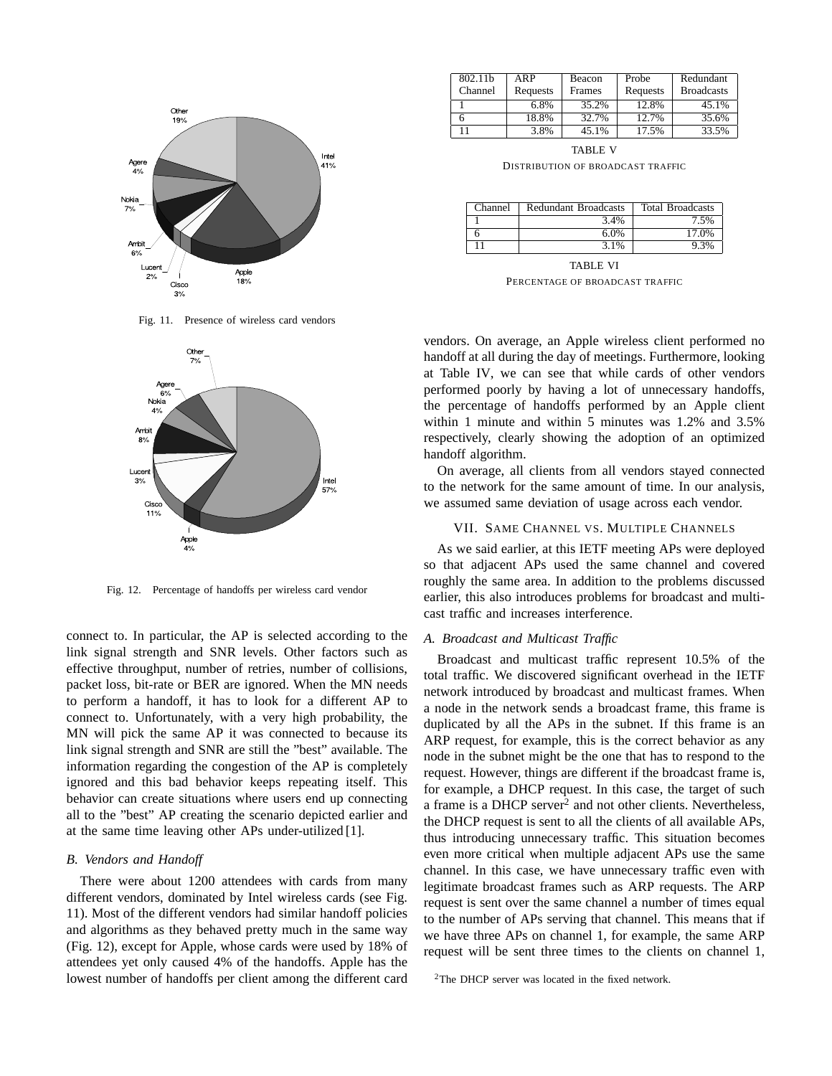

Fig. 11. Presence of wireless card vendors



Fig. 12. Percentage of handoffs per wireless card vendor

connect to. In particular, the AP is selected according to the link signal strength and SNR levels. Other factors such as effective throughput, number of retries, number of collisions, packet loss, bit-rate or BER are ignored. When the MN needs to perform a handoff, it has to look for a different AP to connect to. Unfortunately, with a very high probability, the MN will pick the same AP it was connected to because its link signal strength and SNR are still the "best" available. The information regarding the congestion of the AP is completely ignored and this bad behavior keeps repeating itself. This behavior can create situations where users end up connecting all to the "best" AP creating the scenario depicted earlier and at the same time leaving other APs under-utilized [1].

## *B. Vendors and Handoff*

There were about 1200 attendees with cards from many different vendors, dominated by Intel wireless cards (see Fig. 11). Most of the different vendors had similar handoff policies and algorithms as they behaved pretty much in the same way (Fig. 12), except for Apple, whose cards were used by 18% of attendees yet only caused 4% of the handoffs. Apple has the lowest number of handoffs per client among the different card

| 802.11b | ARP      | Beacon | Probe    | Redundant         |
|---------|----------|--------|----------|-------------------|
| Channel | Requests | Frames | Requests | <b>Broadcasts</b> |
|         | 6.8%     | 35.2%  | 12.8%    | 45.1%             |
|         | 18.8%    | 32.7%  | 12.7%    | 35.6%             |
|         | 3.8%     | 45.1%  | 17.5%    | 33.5%             |

TABLE V DISTRIBUTION OF BROADCAST TRAFFIC

| Channel | Redundant Broadcasts | <b>Total Broadcasts</b> |
|---------|----------------------|-------------------------|
|         | 3.4%                 | 7.5%                    |
|         | 6.0%                 | 17.0%                   |
|         | 3.1%                 | 9.3%                    |

TABLE VI PERCENTAGE OF BROADCAST TRAFFIC

vendors. On average, an Apple wireless client performed no handoff at all during the day of meetings. Furthermore, looking at Table IV, we can see that while cards of other vendors performed poorly by having a lot of unnecessary handoffs, the percentage of handoffs performed by an Apple client within 1 minute and within 5 minutes was 1.2% and 3.5% respectively, clearly showing the adoption of an optimized handoff algorithm.

On average, all clients from all vendors stayed connected to the network for the same amount of time. In our analysis, we assumed same deviation of usage across each vendor.

# VII. SAME CHANNEL VS. MULTIPLE CHANNELS

As we said earlier, at this IETF meeting APs were deployed so that adjacent APs used the same channel and covered roughly the same area. In addition to the problems discussed earlier, this also introduces problems for broadcast and multicast traffic and increases interference.

## *A. Broadcast and Multicast Traffic*

Broadcast and multicast traffic represent 10.5% of the total traffic. We discovered significant overhead in the IETF network introduced by broadcast and multicast frames. When a node in the network sends a broadcast frame, this frame is duplicated by all the APs in the subnet. If this frame is an ARP request, for example, this is the correct behavior as any node in the subnet might be the one that has to respond to the request. However, things are different if the broadcast frame is, for example, a DHCP request. In this case, the target of such a frame is a DHCP server<sup>2</sup> and not other clients. Nevertheless, the DHCP request is sent to all the clients of all available APs, thus introducing unnecessary traffic. This situation becomes even more critical when multiple adjacent APs use the same channel. In this case, we have unnecessary traffic even with legitimate broadcast frames such as ARP requests. The ARP request is sent over the same channel a number of times equal to the number of APs serving that channel. This means that if we have three APs on channel 1, for example, the same ARP request will be sent three times to the clients on channel 1,

<sup>&</sup>lt;sup>2</sup>The DHCP server was located in the fixed network.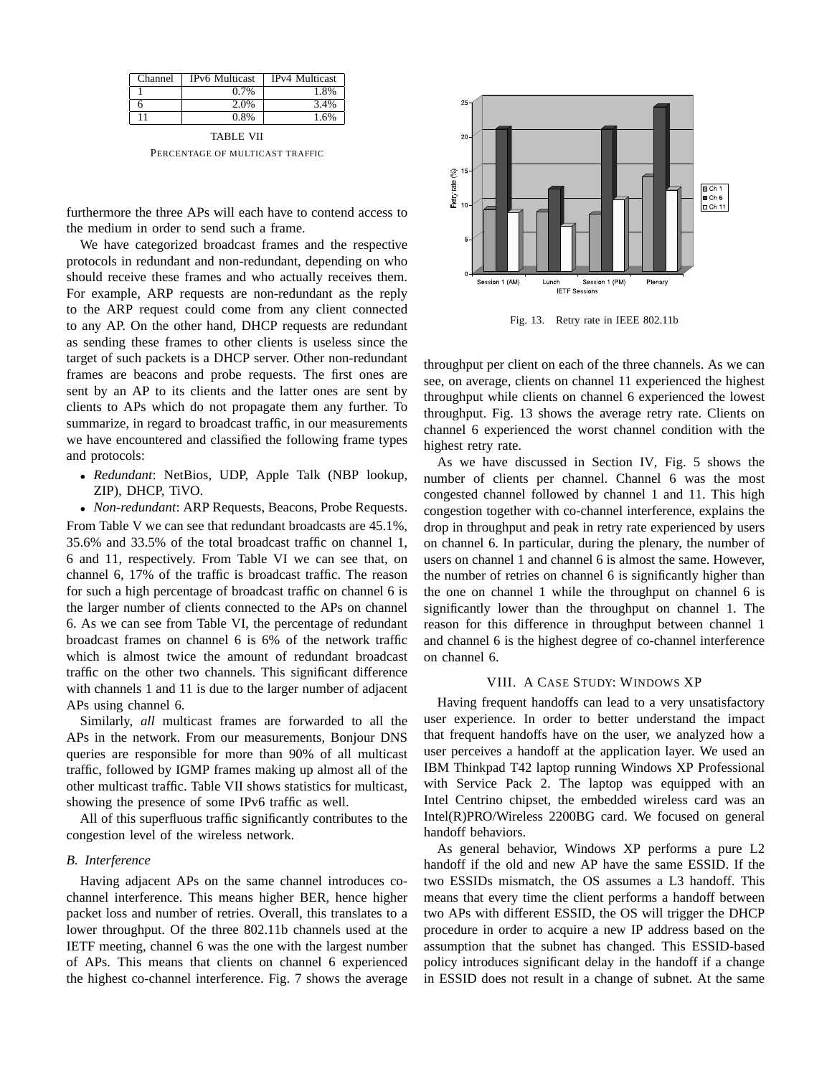| Channel | <b>IPv6</b> Multicast | IPv4 Multicast |
|---------|-----------------------|----------------|
|         | $0.7\%$               | 1.8%           |
|         | 2.0%                  | 3.4%           |
|         | $0.8\%$               | 1.6%           |

TABLE VII PERCENTAGE OF MULTICAST TRAFFIC

furthermore the three APs will each have to contend access to the medium in order to send such a frame.

We have categorized broadcast frames and the respective protocols in redundant and non-redundant, depending on who should receive these frames and who actually receives them. For example, ARP requests are non-redundant as the reply to the ARP request could come from any client connected to any AP. On the other hand, DHCP requests are redundant as sending these frames to other clients is useless since the target of such packets is a DHCP server. Other non-redundant frames are beacons and probe requests. The first ones are sent by an AP to its clients and the latter ones are sent by clients to APs which do not propagate them any further. To summarize, in regard to broadcast traffic, in our measurements we have encountered and classified the following frame types and protocols:

- *Redundant*: NetBios, UDP, Apple Talk (NBP lookup, ZIP), DHCP, TiVO.
- *Non-redundant*: ARP Requests, Beacons, Probe Requests.

From Table V we can see that redundant broadcasts are 45.1%, 35.6% and 33.5% of the total broadcast traffic on channel 1, 6 and 11, respectively. From Table VI we can see that, on channel 6, 17% of the traffic is broadcast traffic. The reason for such a high percentage of broadcast traffic on channel 6 is the larger number of clients connected to the APs on channel 6. As we can see from Table VI, the percentage of redundant broadcast frames on channel 6 is 6% of the network traffic which is almost twice the amount of redundant broadcast traffic on the other two channels. This significant difference with channels 1 and 11 is due to the larger number of adjacent APs using channel 6.

Similarly, *all* multicast frames are forwarded to all the APs in the network. From our measurements, Bonjour DNS queries are responsible for more than 90% of all multicast traffic, followed by IGMP frames making up almost all of the other multicast traffic. Table VII shows statistics for multicast, showing the presence of some IPv6 traffic as well.

All of this superfluous traffic significantly contributes to the congestion level of the wireless network.

## *B. Interference*

Having adjacent APs on the same channel introduces cochannel interference. This means higher BER, hence higher packet loss and number of retries. Overall, this translates to a lower throughput. Of the three 802.11b channels used at the IETF meeting, channel 6 was the one with the largest number of APs. This means that clients on channel 6 experienced the highest co-channel interference. Fig. 7 shows the average



Fig. 13. Retry rate in IEEE 802.11b

throughput per client on each of the three channels. As we can see, on average, clients on channel 11 experienced the highest throughput while clients on channel 6 experienced the lowest throughput. Fig. 13 shows the average retry rate. Clients on channel 6 experienced the worst channel condition with the highest retry rate.

As we have discussed in Section IV, Fig. 5 shows the number of clients per channel. Channel 6 was the most congested channel followed by channel 1 and 11. This high congestion together with co-channel interference, explains the drop in throughput and peak in retry rate experienced by users on channel 6. In particular, during the plenary, the number of users on channel 1 and channel 6 is almost the same. However, the number of retries on channel 6 is significantly higher than the one on channel 1 while the throughput on channel 6 is significantly lower than the throughput on channel 1. The reason for this difference in throughput between channel 1 and channel 6 is the highest degree of co-channel interference on channel 6.

## VIII. A CASE STUDY: WINDOWS XP

Having frequent handoffs can lead to a very unsatisfactory user experience. In order to better understand the impact that frequent handoffs have on the user, we analyzed how a user perceives a handoff at the application layer. We used an IBM Thinkpad T42 laptop running Windows XP Professional with Service Pack 2. The laptop was equipped with an Intel Centrino chipset, the embedded wireless card was an Intel(R)PRO/Wireless 2200BG card. We focused on general handoff behaviors.

As general behavior, Windows XP performs a pure L2 handoff if the old and new AP have the same ESSID. If the two ESSIDs mismatch, the OS assumes a L3 handoff. This means that every time the client performs a handoff between two APs with different ESSID, the OS will trigger the DHCP procedure in order to acquire a new IP address based on the assumption that the subnet has changed. This ESSID-based policy introduces significant delay in the handoff if a change in ESSID does not result in a change of subnet. At the same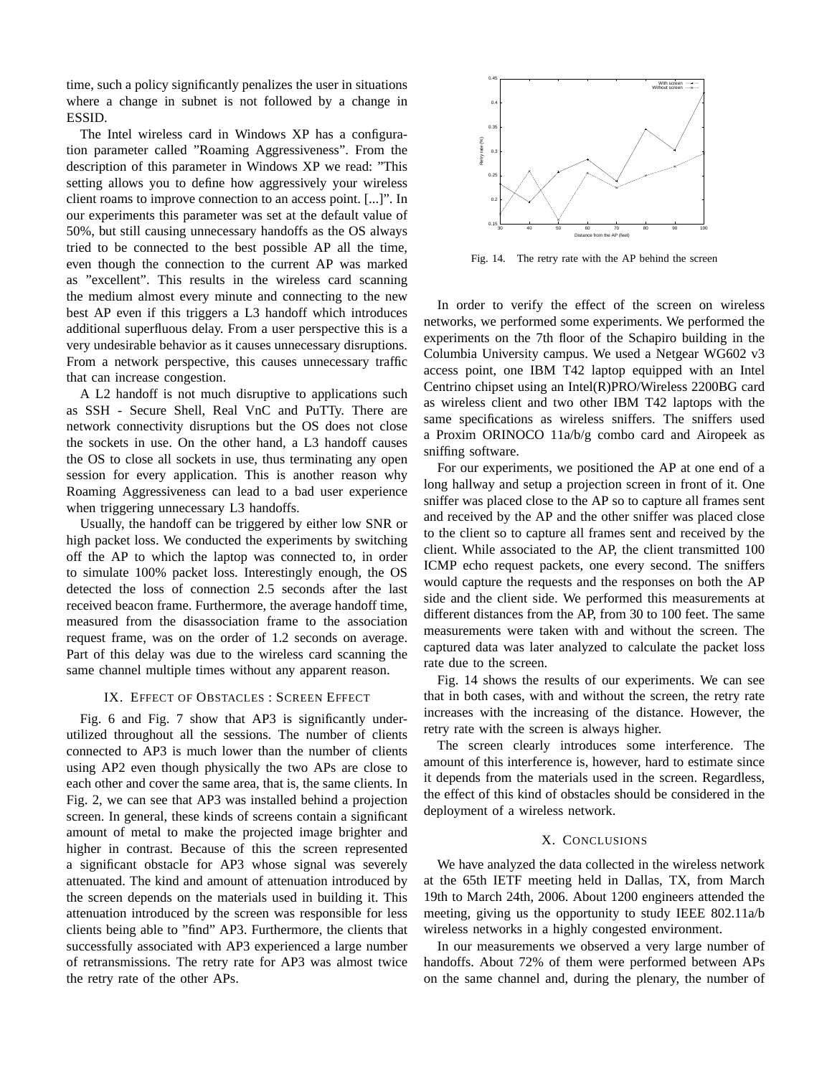time, such a policy significantly penalizes the user in situations where a change in subnet is not followed by a change in ESSID.

The Intel wireless card in Windows XP has a configuration parameter called "Roaming Aggressiveness". From the description of this parameter in Windows XP we read: "This setting allows you to define how aggressively your wireless client roams to improve connection to an access point. [...]". In our experiments this parameter was set at the default value of 50%, but still causing unnecessary handoffs as the OS always tried to be connected to the best possible AP all the time, even though the connection to the current AP was marked as "excellent". This results in the wireless card scanning the medium almost every minute and connecting to the new best AP even if this triggers a L3 handoff which introduces additional superfluous delay. From a user perspective this is a very undesirable behavior as it causes unnecessary disruptions. From a network perspective, this causes unnecessary traffic that can increase congestion.

A L2 handoff is not much disruptive to applications such as SSH - Secure Shell, Real VnC and PuTTy. There are network connectivity disruptions but the OS does not close the sockets in use. On the other hand, a L3 handoff causes the OS to close all sockets in use, thus terminating any open session for every application. This is another reason why Roaming Aggressiveness can lead to a bad user experience when triggering unnecessary L3 handoffs.

Usually, the handoff can be triggered by either low SNR or high packet loss. We conducted the experiments by switching off the AP to which the laptop was connected to, in order to simulate 100% packet loss. Interestingly enough, the OS detected the loss of connection 2.5 seconds after the last received beacon frame. Furthermore, the average handoff time, measured from the disassociation frame to the association request frame, was on the order of 1.2 seconds on average. Part of this delay was due to the wireless card scanning the same channel multiple times without any apparent reason.

#### IX. EFFECT OF OBSTACLES : SCREEN EFFECT

Fig. 6 and Fig. 7 show that AP3 is significantly underutilized throughout all the sessions. The number of clients connected to AP3 is much lower than the number of clients using AP2 even though physically the two APs are close to each other and cover the same area, that is, the same clients. In Fig. 2, we can see that AP3 was installed behind a projection screen. In general, these kinds of screens contain a significant amount of metal to make the projected image brighter and higher in contrast. Because of this the screen represented a significant obstacle for AP3 whose signal was severely attenuated. The kind and amount of attenuation introduced by the screen depends on the materials used in building it. This attenuation introduced by the screen was responsible for less clients being able to "find" AP3. Furthermore, the clients that successfully associated with AP3 experienced a large number of retransmissions. The retry rate for AP3 was almost twice the retry rate of the other APs.



Fig. 14. The retry rate with the AP behind the screen

In order to verify the effect of the screen on wireless networks, we performed some experiments. We performed the experiments on the 7th floor of the Schapiro building in the Columbia University campus. We used a Netgear WG602 v3 access point, one IBM T42 laptop equipped with an Intel Centrino chipset using an Intel(R)PRO/Wireless 2200BG card as wireless client and two other IBM T42 laptops with the same specifications as wireless sniffers. The sniffers used a Proxim ORINOCO 11a/b/g combo card and Airopeek as sniffing software.

For our experiments, we positioned the AP at one end of a long hallway and setup a projection screen in front of it. One sniffer was placed close to the AP so to capture all frames sent and received by the AP and the other sniffer was placed close to the client so to capture all frames sent and received by the client. While associated to the AP, the client transmitted 100 ICMP echo request packets, one every second. The sniffers would capture the requests and the responses on both the AP side and the client side. We performed this measurements at different distances from the AP, from 30 to 100 feet. The same measurements were taken with and without the screen. The captured data was later analyzed to calculate the packet loss rate due to the screen.

Fig. 14 shows the results of our experiments. We can see that in both cases, with and without the screen, the retry rate increases with the increasing of the distance. However, the retry rate with the screen is always higher.

The screen clearly introduces some interference. The amount of this interference is, however, hard to estimate since it depends from the materials used in the screen. Regardless, the effect of this kind of obstacles should be considered in the deployment of a wireless network.

## X. CONCLUSIONS

We have analyzed the data collected in the wireless network at the 65th IETF meeting held in Dallas, TX, from March 19th to March 24th, 2006. About 1200 engineers attended the meeting, giving us the opportunity to study IEEE 802.11a/b wireless networks in a highly congested environment.

In our measurements we observed a very large number of handoffs. About 72% of them were performed between APs on the same channel and, during the plenary, the number of